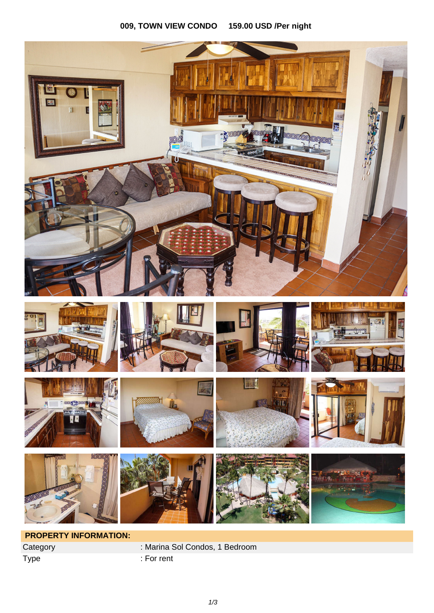## **009, TOWN VIEW CONDO 159.00 USD /Per night**



Type : For rent

Category : Marina Sol Condos, 1 Bedroom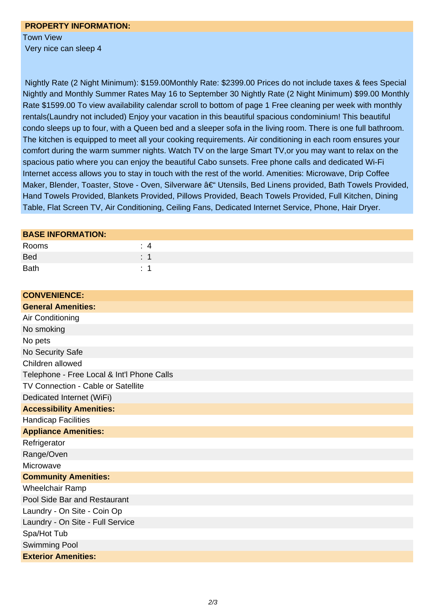## **PROPERTY INFORMATION:**  Town View

Very nice can sleep 4

 Nightly Rate (2 Night Minimum): \$159.00Monthly Rate: \$2399.00 Prices do not include taxes & fees Special Nightly and Monthly Summer Rates May 16 to September 30 Nightly Rate (2 Night Minimum) \$99.00 Monthly Rate \$1599.00 To view availability calendar scroll to bottom of page 1 Free cleaning per week with monthly rentals(Laundry not included) Enjoy your vacation in this beautiful spacious condominium! This beautiful condo sleeps up to four, with a Queen bed and a sleeper sofa in the living room. There is one full bathroom. The kitchen is equipped to meet all your cooking requirements. Air conditioning in each room ensures your comfort during the warm summer nights. Watch TV on the large Smart TV,or you may want to relax on the spacious patio where you can enjoy the beautiful Cabo sunsets. Free phone calls and dedicated Wi-Fi Internet access allows you to stay in touch with the rest of the world. Amenities: Microwave, Drip Coffee Maker, Blender, Toaster, Stove - Oven, Silverware – Utensils, Bed Linens provided, Bath Towels Provided, Hand Towels Provided, Blankets Provided, Pillows Provided, Beach Towels Provided, Full Kitchen, Dining Table, Flat Screen TV, Air Conditioning, Ceiling Fans, Dedicated Internet Service, Phone, Hair Dryer.

## **BASE INFORMATION:**

| Rooms       |                |
|-------------|----------------|
| <b>Bed</b>  | . .            |
| <b>Bath</b> | <b>Service</b> |

| <b>CONVENIENCE:</b>                        |
|--------------------------------------------|
| <b>General Amenities:</b>                  |
| Air Conditioning                           |
| No smoking                                 |
| No pets                                    |
| No Security Safe                           |
| Children allowed                           |
| Telephone - Free Local & Int'l Phone Calls |
| TV Connection - Cable or Satellite         |
| Dedicated Internet (WiFi)                  |
| <b>Accessibility Amenities:</b>            |
| <b>Handicap Facilities</b>                 |
| <b>Appliance Amenities:</b>                |
| Refrigerator                               |
| Range/Oven                                 |
| Microwave                                  |
| <b>Community Amenities:</b>                |
| <b>Wheelchair Ramp</b>                     |
| Pool Side Bar and Restaurant               |
| Laundry - On Site - Coin Op                |
| Laundry - On Site - Full Service           |
| Spa/Hot Tub                                |
| <b>Swimming Pool</b>                       |
| <b>Exterior Amenities:</b>                 |